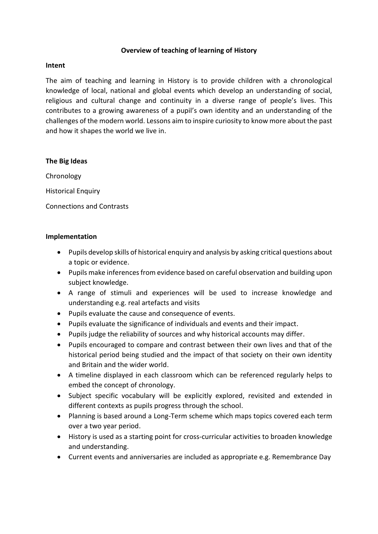# **Overview of teaching of learning of History**

### **Intent**

The aim of teaching and learning in History is to provide children with a chronological knowledge of local, national and global events which develop an understanding of social, religious and cultural change and continuity in a diverse range of people's lives. This contributes to a growing awareness of a pupil's own identity and an understanding of the challenges of the modern world. Lessons aim to inspire curiosity to know more about the past and how it shapes the world we live in.

### **The Big Ideas**

Chronology **Historical Enquiry** Connections and Contrasts

### **Implementation**

- Pupils develop skills of historical enquiry and analysis by asking critical questions about a topic or evidence.
- Pupils make inferences from evidence based on careful observation and building upon subject knowledge.
- A range of stimuli and experiences will be used to increase knowledge and understanding e.g. real artefacts and visits
- Pupils evaluate the cause and consequence of events.
- Pupils evaluate the significance of individuals and events and their impact.
- Pupils judge the reliability of sources and why historical accounts may differ.
- Pupils encouraged to compare and contrast between their own lives and that of the historical period being studied and the impact of that society on their own identity and Britain and the wider world.
- A timeline displayed in each classroom which can be referenced regularly helps to embed the concept of chronology.
- Subject specific vocabulary will be explicitly explored, revisited and extended in different contexts as pupils progress through the school.
- Planning is based around a Long-Term scheme which maps topics covered each term over a two year period.
- History is used as a starting point for cross-curricular activities to broaden knowledge and understanding.
- Current events and anniversaries are included as appropriate e.g. Remembrance Day